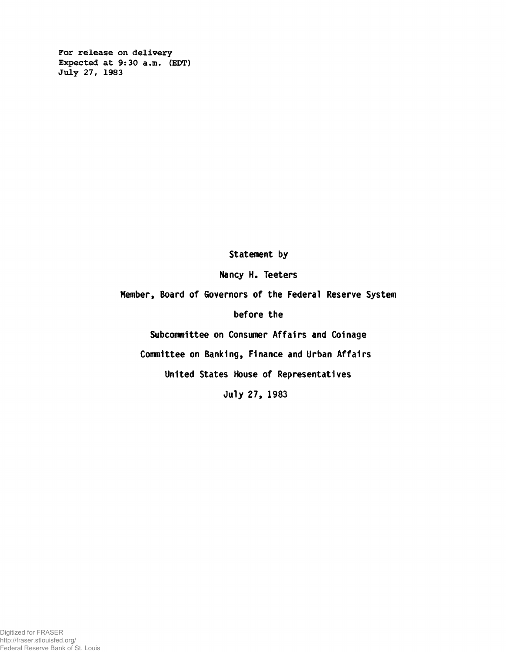For release on delivery Expected at 9:30 a.m. (EDT) July 27, 1983

Statement by

Nancy H. Teeters

Member, Board of Governors of the Federal Reserve System

before the

Subcommittee on Consumer Affairs and Coinage

Committee on Banking, Finance and Urban Affairs

United States House of Representatives

July 27, 1983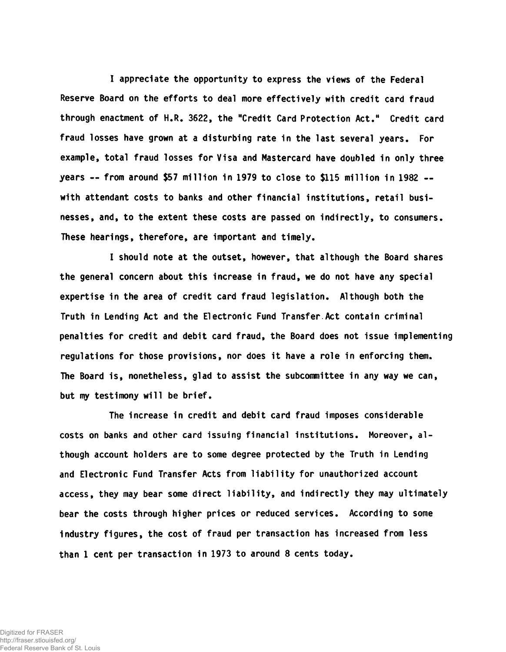I appreciate the opportunity to express the views of the Federal Reserve Board on the efforts to deal more effectively with credit card fraud through enactment of H.R. 3622, the "Credit Card Protection Act." Credit card fraud losses have grown at a disturbing rate in the last several years. For example, total fraud losses for Visa and Mastercard have doubled in only three years — from around \$57 million in 1979 to close to \$115 million in 1982 with attendant costs to banks and other financial institutions, retail businesses, and, to the extent these costs are passed on indirectly, to consumers. These hearings, therefore, are important and timely.

I should note at the outset, however, that although the Board shares the general concern about this increase in fraud, we do not have any special expertise in the area of credit card fraud legislation. Although both the Truth in Lending Act and the Electronic Fund Transfer.Act contain criminal penalties for credit and debit card fraud, the Board does not issue implementing regulations for those provisions, nor does it have a role in enforcing them. The Board is, nonetheless, glad to assist the subcommittee in any way we can, but my testimony will be brief.

The increase in credit and debit card fraud imposes considerable costs on banks and other card issuing financial institutions. Moreover, although account holders are to some degree protected by the Truth in Lending and Electronic Fund Transfer Acts from liability for unauthorized account access, they may bear some direct liability, and indirectly they may ultimately bear the costs through higher prices or reduced services. According to some industry figures, the cost of fraud per transaction has increased from less than 1 cent per transaction in 1973 to around 8 cents today.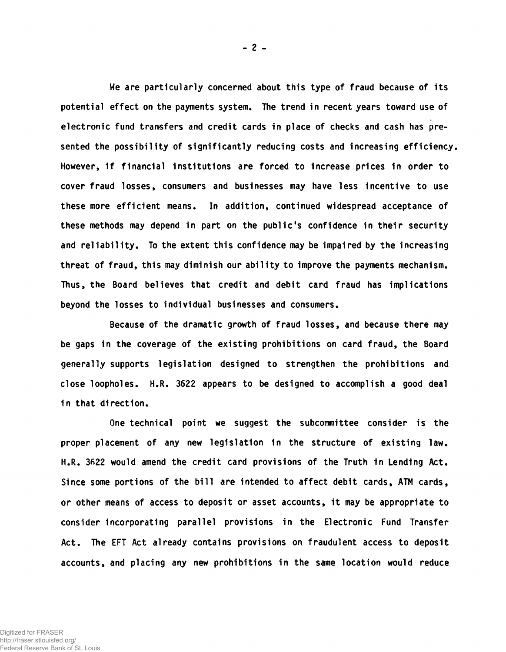We are particularly concerned about this type of fraud because of its potential effect on the payments system. The trend in recent years toward use of electronic fund transfers and credit cards in place of checks and cash has presented the possibility of significantly reducing costs and increasing efficiency. However, if financial institutions are forced to increase prices in order to cover fraud losses, consumers and businesses may have less incentive to use these more efficient means. In addition, continued widespread acceptance of these methods may depend in part on the public's confidence in their security and reliability. To the extent this confidence may be impaired by the increasing threat of fraud, this may diminish our ability to improve the payments mechanism. Thus, the Board believes that credit and debit card fraud has implications beyond the losses to individual businesses and consumers.

Because of the dramatic growth of fraud losses, and because there may be gaps in the coverage of the existing prohibitions on card fraud, the Board generally supports legislation designed to strengthen the prohibitions and close loopholes. H.R. 3622 appears to be designed to accomplish a good deal in that direction.

One technical point we suggest the subcommittee consider is the proper placement of any new legislation in the structure of existing law. H.R. 3622 would amend the credit card provisions of the Truth in Lending Act. Since some portions of the bill are intended to affect debit cards, ATM cards, or other means of access to deposit or asset accounts, it may be appropriate to consider incorporating parallel provisions in the Electronic Fund Transfer Act. The EFT Act already contains provisions on fraudulent access to deposit accounts, and placing any new prohibitions in the same location would reduce